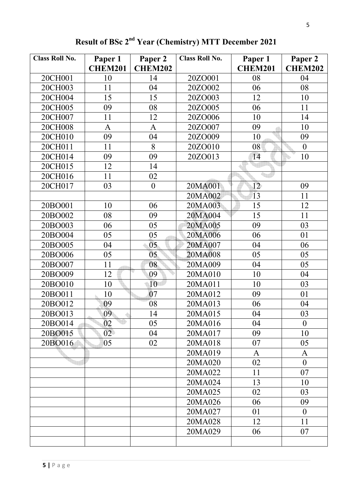| <b>Class Roll No.</b> | Paper 1<br><b>CHEM201</b> | Paper 2<br><b>CHEM202</b> | <b>Class Roll No.</b> | Paper 1<br><b>CHEM201</b> | Paper 2<br><b>CHEM202</b> |
|-----------------------|---------------------------|---------------------------|-----------------------|---------------------------|---------------------------|
| 20CH001               | 10                        | 14                        | 20ZO001               | 08                        | 04                        |
| 20CH003               | 11                        | 04                        | 20ZO002               | 06                        | 08                        |
| 20CH004               | 15                        | 15                        | 20ZO003               | 12                        | 10                        |
| 20CH005               | 09                        | 08                        | 20ZO005               | 06                        | 11                        |
| 20CH007               | 11                        | 12                        | 20ZO006               | 10                        | 14                        |
| 20CH008               | $\mathbf{A}$              | $\overline{A}$            | 20ZO007               | 09                        | 10                        |
| 20CH010               | 09                        | 04                        | 20ZO009               | 10                        | 09                        |
| 20CH011               | 11                        | 8                         | 20ZO010               | 08                        | $\overline{0}$            |
| 20CH014               | 09                        | 09                        | 20ZO013               | 14                        | 10                        |
| 20CH015               | 12                        | 14                        |                       |                           |                           |
| 20CH016               | 11                        | 02                        |                       |                           |                           |
| 20CH017               | 03                        | $\mathbf{0}$              | 20MA001               | 12                        | 09                        |
|                       |                           |                           | 20MA002               | 13                        | 11                        |
| 20BO001               | 10                        | 06                        | 20MA003               | 15                        | 12                        |
| 20BO002               | 08                        | 09                        | 20MA004               | 15                        | 11                        |
| 20BO003               | 06                        | 05                        | 20MA005               | 09                        | 03                        |
| 20BO004               | 05                        | 05                        | 20MA006               | 06                        | 01                        |
| 20BO005               | 04                        | 05                        | 20MA007               | 04                        | 06                        |
| 20BO006               | 05                        | 05                        | 20MA008               | 05                        | 05                        |
| 20BO007               | 11                        | 08                        | 20MA009               | 04                        | 05                        |
| 20BO009               | 12                        | 09                        | 20MA010               | 10                        | 04                        |
| 20BO010               | 10                        | 10                        | 20MA011               | 10                        | 03                        |
| 20BO011               | 10                        | 07                        | 20MA012               | 09                        | 01                        |
| 20BO012               | 09                        | 08                        | 20MA013               | 06                        | 04                        |
| 20BO013               | 09                        | 14                        | 20MA015               | 04                        | 03                        |
| 20BO014               | 02                        | 05                        | 20MA016               | 04                        | $\theta$                  |
| 20BO015               | $02 -$                    | 04                        | 20MA017               | 09                        | 10                        |
| 20BO016               | 05                        | 02                        | 20MA018               | 07                        | 05                        |
|                       |                           |                           | 20MA019               | A                         | A                         |
|                       |                           |                           | 20MA020               | 02                        | $\theta$                  |
|                       |                           |                           | 20MA022               | 11                        | 07                        |
|                       |                           |                           | 20MA024               | 13                        | 10                        |
|                       |                           |                           | 20MA025               | 02                        | 03                        |
|                       |                           |                           | 20MA026               | 06                        | 09                        |
|                       |                           |                           | 20MA027               | 01                        | $\theta$                  |
|                       |                           |                           | 20MA028               | 12                        | 11                        |
|                       |                           |                           | 20MA029               | 06                        | 07                        |
|                       |                           |                           |                       |                           |                           |

**Result of BSc 2nd Year (Chemistry) MTT December 2021**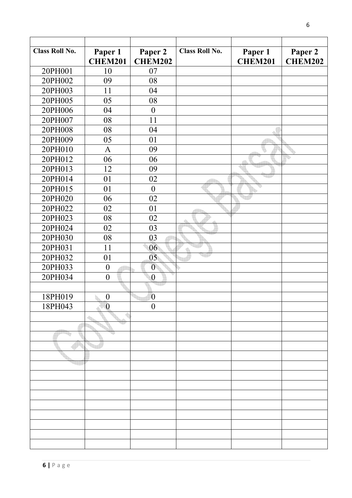| <b>Class Roll No.</b> | Paper 1          | Paper 2          | <b>Class Roll No.</b> | Paper 1        | Paper 2        |
|-----------------------|------------------|------------------|-----------------------|----------------|----------------|
|                       | <b>CHEM201</b>   | <b>CHEM202</b>   |                       | <b>CHEM201</b> | <b>CHEM202</b> |
| 20PH001               | 10               | 07               |                       |                |                |
| 20PH002               | 09               | 08               |                       |                |                |
| 20PH003               | 11               | 04               |                       |                |                |
| 20PH005               | 05               | 08               |                       |                |                |
| 20PH006               | 04               | $\overline{0}$   |                       |                |                |
| 20PH007               | 08               | 11               |                       |                |                |
| 20PH008               | 08               | 04               |                       |                |                |
| 20PH009               | 05               | 01               |                       |                |                |
| 20PH010               | $\mathbf{A}$     | 09               |                       |                |                |
| 20PH012               | 06               | 06               |                       | éb             | ŧ              |
| 20PH013               | 12               | 09               |                       |                |                |
| 20PH014               | 01               | 02               |                       |                |                |
| 20PH015               | 01               | $\overline{0}$   |                       |                |                |
| 20PH020               | 06               | 02               |                       |                |                |
| 20PH022               | 02               | 01               |                       |                |                |
| 20PH023               | 08               | 02               |                       |                |                |
| 20PH024               | 02               | 03               |                       |                |                |
| 20PH030               | 08               | 03               |                       |                |                |
| 20PH031               | 11               | 06               |                       |                |                |
| 20PH032               | 01               | 05               |                       |                |                |
| 20PH033               | $\boldsymbol{0}$ | $\overline{0}$   |                       |                |                |
| 20PH034               | $\boldsymbol{0}$ | $\overline{0}$   |                       |                |                |
|                       |                  |                  |                       |                |                |
| 18PH019               | $\overline{0}$   | $\mathbf{0}$     |                       |                |                |
| 18PH043               | $\boldsymbol{0}$ | $\boldsymbol{0}$ |                       |                |                |
|                       |                  |                  |                       |                |                |
|                       |                  |                  |                       |                |                |
|                       |                  |                  |                       |                |                |
|                       |                  |                  |                       |                |                |
|                       |                  |                  |                       |                |                |
|                       |                  |                  |                       |                |                |
|                       |                  |                  |                       |                |                |
|                       |                  |                  |                       |                |                |
|                       |                  |                  |                       |                |                |
|                       |                  |                  |                       |                |                |
|                       |                  |                  |                       |                |                |
|                       |                  |                  |                       |                |                |
|                       |                  |                  |                       |                |                |
|                       |                  |                  |                       |                |                |